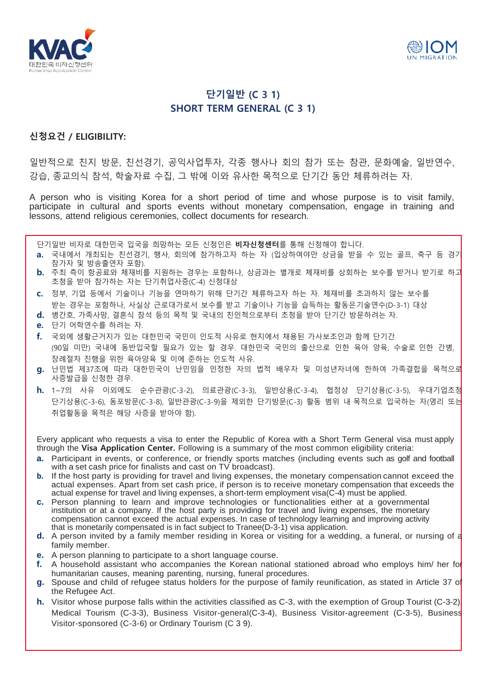



## **단기일반 (C 3 1) SHORT TERM GENERAL (C 3 1)**

## **신청요건 / ELIGIBILITY:**

일반적으로 친지 방문, 친선경기, 공익사업투자, 각종 행사나 회의 참가 또는 참관, 문화예술, 일반연수, 강습, 종교의식 참석, 학술자료 수집, 그 밖에 이와 유사한 목적으로 단기간 동안 체류하려는 자.

A person who is visiting Korea for a short period of time and whose purpose is to visit family, participate in cultural and sports events without monetary compensation, engage in training and lessons, attend religious ceremonies, collect documents for research.

단기일반 비자로 대한민국 입국을 희망하는 모든 신청인은 **비자신청센터**를 통해 신청해야 합니다.

- **a.** 국내에서 개최되는 친선경기, 행사, 회의에 참가하고자 하는 자 (입상하여야만 상금을 받을 수 있는 골프, 축구 등 경기 참가자 및 방송출연자 포함).
- **b.** 주최 측이 항공료와 체재비를 지원하는 경우는 포함하나, 상금과는 별개로 체재비를 상회하는 보수를 받거나 받기로 하고 초청을 받아 참가하는 자는 단기취업사증(C-4) 신청대상
- **c.** 정부, 기업 등에서 기술이나 기능을 연마하기 위해 단기간 체류하고자 하는 자. 체재비를 초과하지 않는 보수를 받는 경우는 포함하나, 사실상 근로대가로서 보수를 받고 기술이나 기능을 습득하는 활동은기술연수(D-3-1) 대상
- **d.** 병간호, 가족사망, 결혼식 참석 등의 목적 및 국내의 친인척으로부터 초청을 받아 단기간 방문하려는 자.
- **e.** 단기 어학연수를 하려는 자.
- **f.** 국외에 생활근거지가 있는 대한민국 국민이 인도적 사유로 현지에서 채용된 가사보조인과 함께 단기간 (90일 미만) 국내에 동반입국할 필요가 있는 할 경우. 대한민국 국민의 출산으로 인한 육아 양육, 수술로 인한 간병, 장례절차 진행을 위한 육아양육 및 이에 준하는 인도적 사유.
- **g.** 난민법 제37조에 따라 대한민국이 난민임을 인정한 자의 법적 배우자 및 미성년자녀에 한하여 가족결합을 목적으로 사증발급을 신청한 경우.
- **h.** 1~7의 사유 이외에도 순수관광(C-3-2), 의료관광(C-3-3), 일반상용(C-3-4), 협정상 단기상용(C-3-5), 우대기업초청 단기상용(C-3-6), 동포방문(C-3-8), 일반관광(C-3-9)을 제외한 단기방문(C-3) 활동 범위 내 목적으로 입국하는 자(영리 또는 취업활동을 목적은 해당 사증을 받아야 함).

Every applicant who requests a visa to enter the Republic of Korea with a Short Term General visa must apply through the **Visa Application Center.** Following is a summary of the most common eligibility criteria:

- **a.** Participant in events, or conference, or friendly sports matches (including events such as golf and football with a set cash price for finalists and cast on TV broadcast).
- **b.** If the host party is providing for travel and living expenses, the monetary compensation cannot exceed the actual expenses. Apart from set cash price, if person is to receive monetary compensation that exceeds the actual expense for travel and living expenses, a short-term employment visa(C-4) must be applied.
- **c.** Person planning to learn and improve technologies or functionalities either at a governmental institution or at a company. If the host party is providing for travel and living expenses, the monetary compensation cannot exceed the actual expenses. In case of technology learning and improving activity that is monetarily compensated is in fact subject to Tranee(D-3-1) visa application.
- **d.** A person invited by a family member residing in Korea or visiting for a wedding, a funeral, or nursing of a family member.
- **e.** A person planning to participate to a short language course.
- **f.** A household assistant who accompanies the Korean national stationed abroad who employs him/ her for humanitarian causes, meaning parenting, nursing, funeral procedures.
- **g.** Spouse and child of refugee status holders for the purpose of family reunification, as stated in Article 37 of the Refugee Act.
- **h.** Visitor whose purpose falls within the activities classified as C-3, with the exemption of Group Tourist (C-3-2) Medical Tourism (C-3-3), Business Visitor-general(C-3-4), Business Visitor-agreement (C-3-5), Business Visitor-sponsored (C-3-6) or Ordinary Tourism (C 3 9).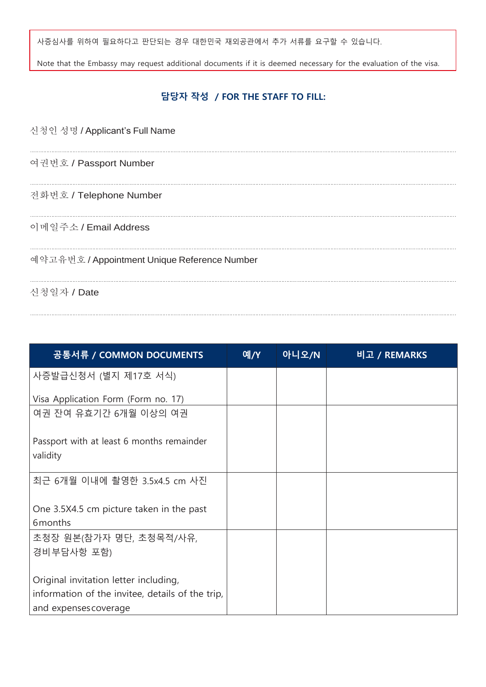사증심사를 위하여 필요하다고 판단되는 경우 대한민국 재외공관에서 추가 서류를 요구할 수 있습니다.

Note that the Embassy may request additional documents if it is deemed necessary for the evaluation of the visa.

## **담당자 작성 / FOR THE STAFF TO FILL:**

| 신청인 성명 / Applicant's Full Name               |
|----------------------------------------------|
| 여권번호 / Passport Number                       |
| 전화번호 / Telephone Number                      |
| 이메일주소 / Email Address                        |
| 예약고유번호 / Appointment Unique Reference Number |

신청일자 / Date

| 공통서류 / COMMON DOCUMENTS                                                                                            | 예/Y | 아니오/N | 비고 / REMARKS |
|--------------------------------------------------------------------------------------------------------------------|-----|-------|--------------|
| 사증발급신청서 (별지 제17호 서식)                                                                                               |     |       |              |
| Visa Application Form (Form no. 17)                                                                                |     |       |              |
| 여권 잔여 유효기간 6개월 이상의 여권                                                                                              |     |       |              |
| Passport with at least 6 months remainder<br>validity                                                              |     |       |              |
| 최근 6개월 이내에 촬영한 3.5x4.5 cm 사진                                                                                       |     |       |              |
| One 3.5X4.5 cm picture taken in the past<br>6 months                                                               |     |       |              |
| 초청장 원본(참가자 명단, 초청목적/사유,<br>경비부담사항 포함)                                                                              |     |       |              |
| Original invitation letter including,<br>information of the invitee, details of the trip,<br>and expenses coverage |     |       |              |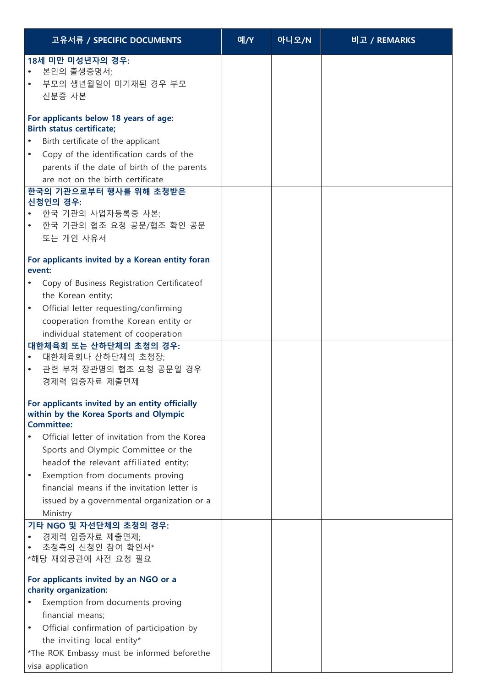| 고유서류 / SPECIFIC DOCUMENTS                                                                                                                                                                                                                                                                                                                                                                                                                                                                                                                                                                                                                         | 예/Y | 아니오/N | 비고 / REMARKS |
|---------------------------------------------------------------------------------------------------------------------------------------------------------------------------------------------------------------------------------------------------------------------------------------------------------------------------------------------------------------------------------------------------------------------------------------------------------------------------------------------------------------------------------------------------------------------------------------------------------------------------------------------------|-----|-------|--------------|
| 18세 미만 미성년자의 경우:<br>• 본인의 출생증명서;<br>• 부모의 생년월일이 미기재된 경우 부모<br>신분증 사본                                                                                                                                                                                                                                                                                                                                                                                                                                                                                                                                                                              |     |       |              |
| For applicants below 18 years of age:<br><b>Birth status certificate;</b><br>Birth certificate of the applicant<br>Copy of the identification cards of the<br>$\bullet$<br>parents if the date of birth of the parents<br>are not on the birth certificate<br>한국의 기관으로부터 행사를 위해 초청받은<br>신청인의 경우:<br>• 한국 기관의 사업자등록증 사본;<br>• 한국 기관의 협조 요청 공문/협조 확인 공문<br>또는 개인 사유서                                                                                                                                                                                                                                                                                |     |       |              |
| For applicants invited by a Korean entity foran<br>event:                                                                                                                                                                                                                                                                                                                                                                                                                                                                                                                                                                                         |     |       |              |
| • Copy of Business Registration Certificate of<br>the Korean entity;<br>Official letter requesting/confirming<br>٠<br>cooperation from the Korean entity or<br>individual statement of cooperation<br>대한체육회 또는 산하단체의 초청의 경우:<br>대한체육회나 산하단체의 초청장;<br>• 관련 부처 장관명의 협조 요청 공문일 경우<br>경제력 입증자료 제출면제<br>For applicants invited by an entity officially<br>within by the Korea Sports and Olympic<br><b>Committee:</b><br>Official letter of invitation from the Korea<br>Sports and Olympic Committee or the<br>headof the relevant affiliated entity;<br>Exemption from documents proving<br>$\bullet$<br>financial means if the invitation letter is |     |       |              |
| issued by a governmental organization or a<br>Ministry                                                                                                                                                                                                                                                                                                                                                                                                                                                                                                                                                                                            |     |       |              |
| 기타 NGO 및 자선단체의 초청의 경우:<br>경제력 입증자료 제출면제;<br>초청측의 신청인 참여 확인서*<br>*해당 재외공관에 사전 요청 필요                                                                                                                                                                                                                                                                                                                                                                                                                                                                                                                                                                |     |       |              |
| For applicants invited by an NGO or a<br>charity organization:<br>Exemption from documents proving<br>financial means;<br>Official confirmation of participation by<br>$\bullet$<br>the inviting local entity*<br>*The ROK Embassy must be informed beforethe<br>visa application                                                                                                                                                                                                                                                                                                                                                                 |     |       |              |